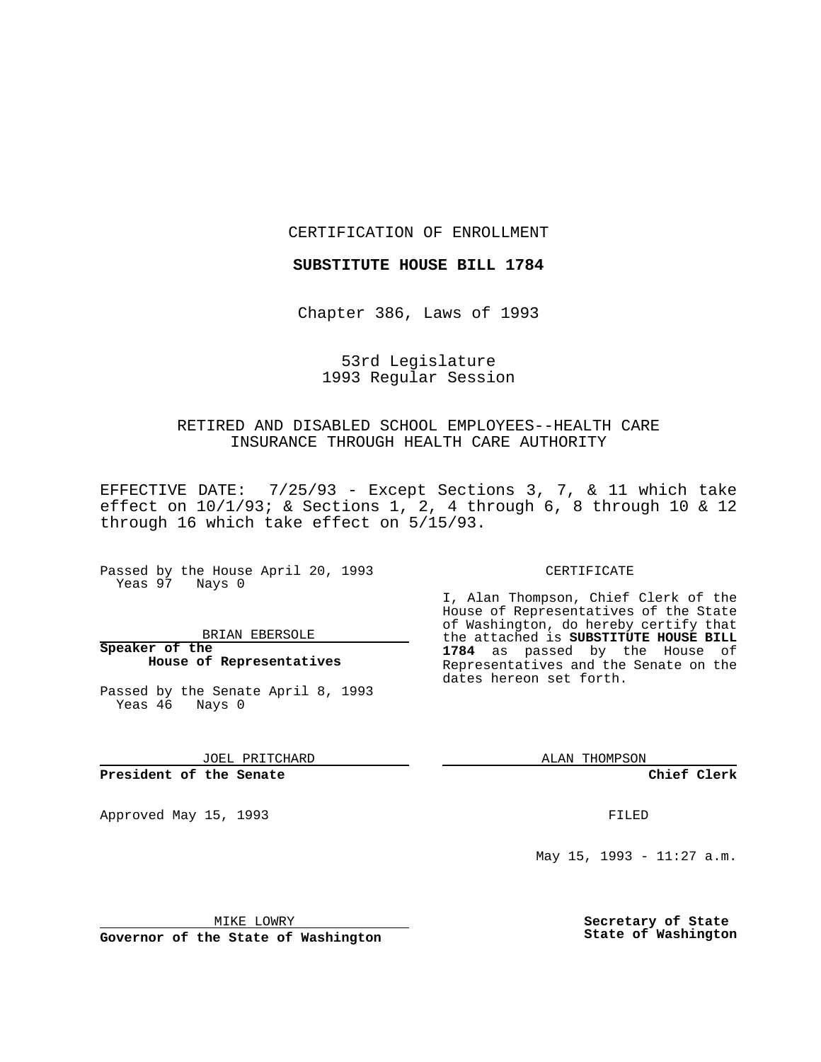CERTIFICATION OF ENROLLMENT

**SUBSTITUTE HOUSE BILL 1784**

Chapter 386, Laws of 1993

# 53rd Legislature 1993 Regular Session

## RETIRED AND DISABLED SCHOOL EMPLOYEES--HEALTH CARE INSURANCE THROUGH HEALTH CARE AUTHORITY

EFFECTIVE DATE: 7/25/93 - Except Sections 3, 7, & 11 which take effect on 10/1/93; & Sections 1, 2, 4 through 6, 8 through 10 & 12 through 16 which take effect on 5/15/93.

Passed by the House April 20, 1993 Yeas 97 Nays 0

BRIAN EBERSOLE

**Speaker of the House of Representatives**

Passed by the Senate April 8, 1993 Yeas 46 Nays 0

JOEL PRITCHARD

### **President of the Senate**

Approved May 15, 1993 **FILED** 

#### CERTIFICATE

I, Alan Thompson, Chief Clerk of the House of Representatives of the State of Washington, do hereby certify that the attached is **SUBSTITUTE HOUSE BILL 1784** as passed by the House of Representatives and the Senate on the dates hereon set forth.

ALAN THOMPSON

**Chief Clerk**

May 15, 1993 - 11:27 a.m.

MIKE LOWRY

**Governor of the State of Washington**

**Secretary of State State of Washington**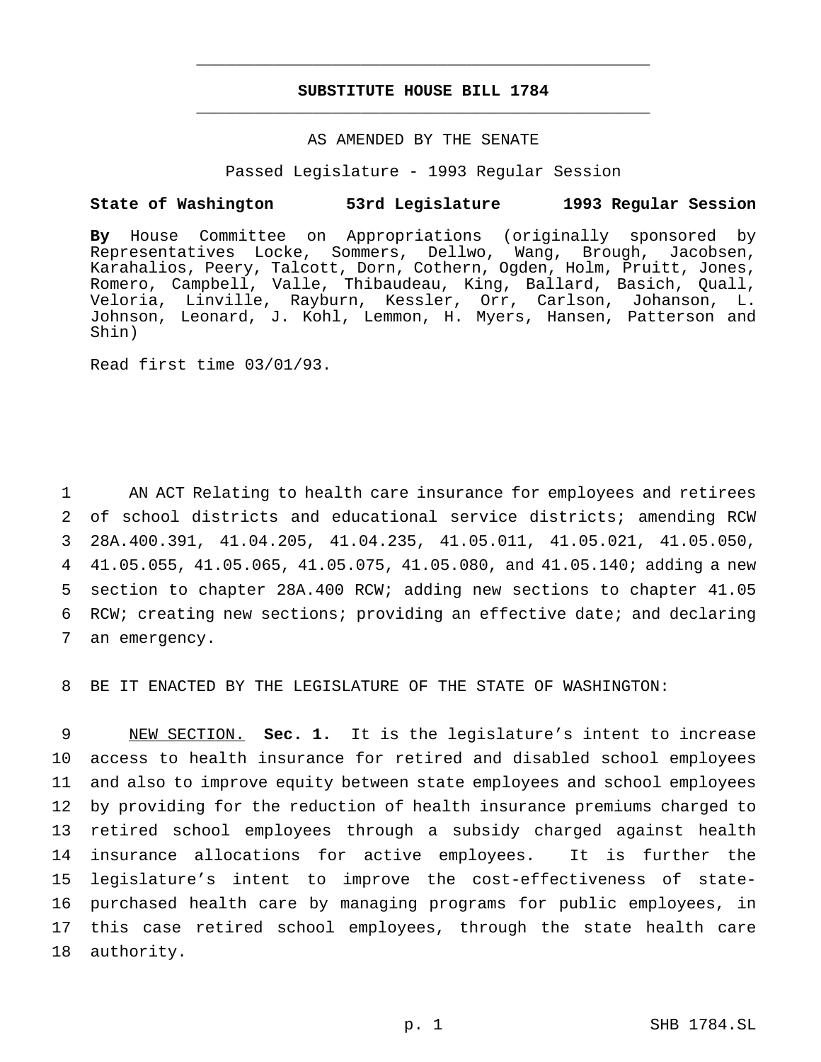# **SUBSTITUTE HOUSE BILL 1784** \_\_\_\_\_\_\_\_\_\_\_\_\_\_\_\_\_\_\_\_\_\_\_\_\_\_\_\_\_\_\_\_\_\_\_\_\_\_\_\_\_\_\_\_\_\_\_

\_\_\_\_\_\_\_\_\_\_\_\_\_\_\_\_\_\_\_\_\_\_\_\_\_\_\_\_\_\_\_\_\_\_\_\_\_\_\_\_\_\_\_\_\_\_\_

### AS AMENDED BY THE SENATE

Passed Legislature - 1993 Regular Session

### **State of Washington 53rd Legislature 1993 Regular Session**

**By** House Committee on Appropriations (originally sponsored by Representatives Locke, Sommers, Dellwo, Wang, Brough, Jacobsen, Karahalios, Peery, Talcott, Dorn, Cothern, Ogden, Holm, Pruitt, Jones, Romero, Campbell, Valle, Thibaudeau, King, Ballard, Basich, Quall, Veloria, Linville, Rayburn, Kessler, Orr, Carlson, Johanson, L. Johnson, Leonard, J. Kohl, Lemmon, H. Myers, Hansen, Patterson and Shin)

Read first time 03/01/93.

 AN ACT Relating to health care insurance for employees and retirees of school districts and educational service districts; amending RCW 28A.400.391, 41.04.205, 41.04.235, 41.05.011, 41.05.021, 41.05.050, 41.05.055, 41.05.065, 41.05.075, 41.05.080, and 41.05.140; adding a new section to chapter 28A.400 RCW; adding new sections to chapter 41.05 RCW; creating new sections; providing an effective date; and declaring an emergency.

8 BE IT ENACTED BY THE LEGISLATURE OF THE STATE OF WASHINGTON:

 NEW SECTION. **Sec. 1.** It is the legislature's intent to increase access to health insurance for retired and disabled school employees and also to improve equity between state employees and school employees by providing for the reduction of health insurance premiums charged to retired school employees through a subsidy charged against health insurance allocations for active employees. It is further the legislature's intent to improve the cost-effectiveness of state- purchased health care by managing programs for public employees, in this case retired school employees, through the state health care authority.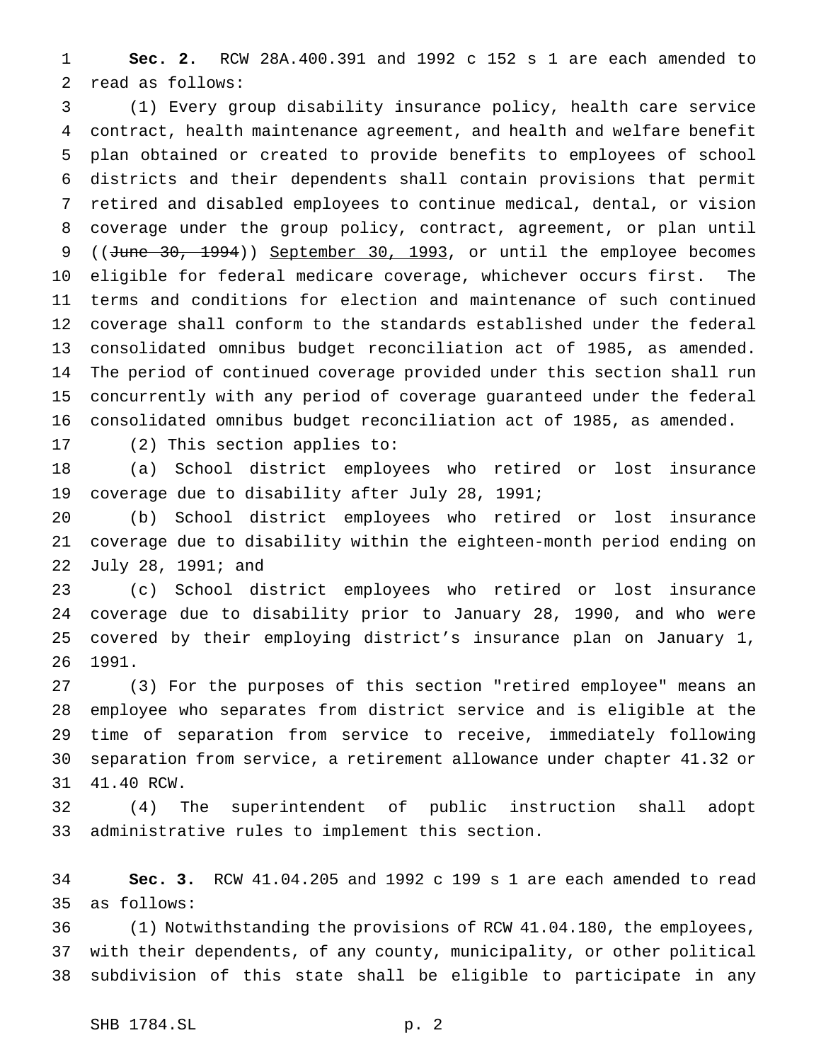**Sec. 2.** RCW 28A.400.391 and 1992 c 152 s 1 are each amended to read as follows:

 (1) Every group disability insurance policy, health care service contract, health maintenance agreement, and health and welfare benefit plan obtained or created to provide benefits to employees of school districts and their dependents shall contain provisions that permit retired and disabled employees to continue medical, dental, or vision coverage under the group policy, contract, agreement, or plan until 9 ((June 30, 1994)) September 30, 1993, or until the employee becomes eligible for federal medicare coverage, whichever occurs first. The terms and conditions for election and maintenance of such continued coverage shall conform to the standards established under the federal consolidated omnibus budget reconciliation act of 1985, as amended. The period of continued coverage provided under this section shall run concurrently with any period of coverage guaranteed under the federal consolidated omnibus budget reconciliation act of 1985, as amended.

(2) This section applies to:

 (a) School district employees who retired or lost insurance coverage due to disability after July 28, 1991;

 (b) School district employees who retired or lost insurance coverage due to disability within the eighteen-month period ending on July 28, 1991; and

 (c) School district employees who retired or lost insurance coverage due to disability prior to January 28, 1990, and who were covered by their employing district's insurance plan on January 1, 1991.

 (3) For the purposes of this section "retired employee" means an employee who separates from district service and is eligible at the time of separation from service to receive, immediately following separation from service, a retirement allowance under chapter 41.32 or 41.40 RCW.

 (4) The superintendent of public instruction shall adopt administrative rules to implement this section.

 **Sec. 3.** RCW 41.04.205 and 1992 c 199 s 1 are each amended to read as follows:

 (1) Notwithstanding the provisions of RCW 41.04.180, the employees, with their dependents, of any county, municipality, or other political subdivision of this state shall be eligible to participate in any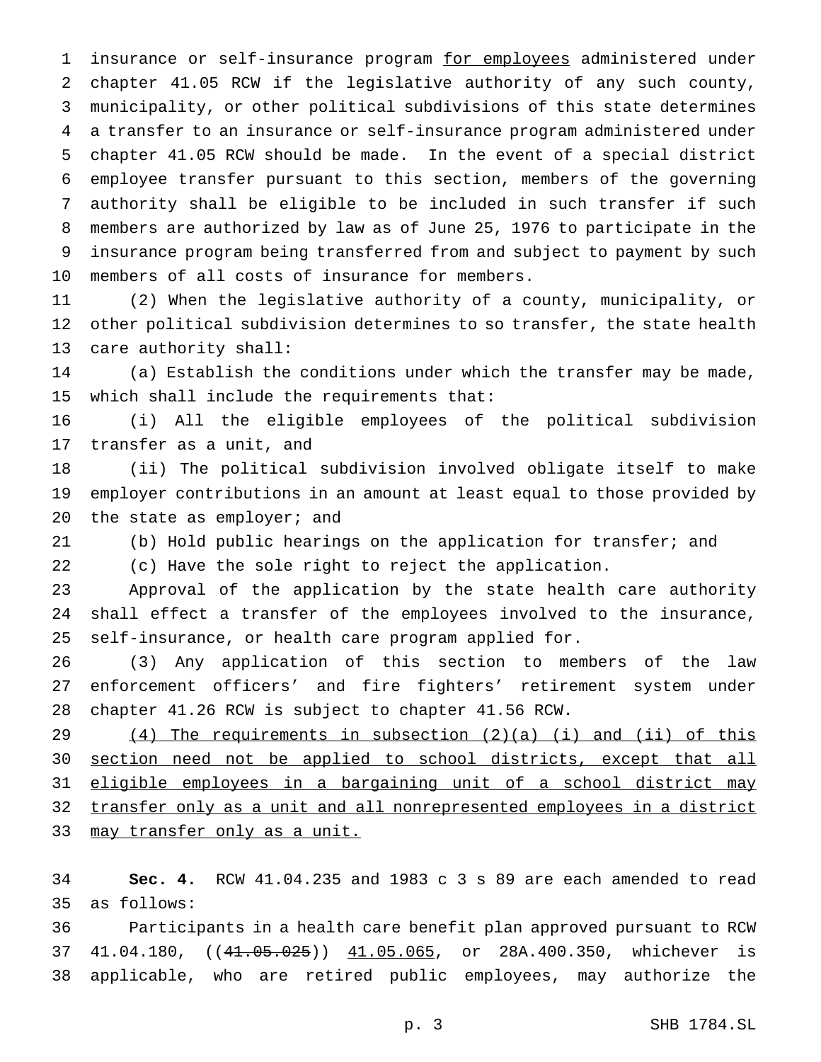1 insurance or self-insurance program for employees administered under chapter 41.05 RCW if the legislative authority of any such county, municipality, or other political subdivisions of this state determines a transfer to an insurance or self-insurance program administered under chapter 41.05 RCW should be made. In the event of a special district employee transfer pursuant to this section, members of the governing authority shall be eligible to be included in such transfer if such members are authorized by law as of June 25, 1976 to participate in the insurance program being transferred from and subject to payment by such members of all costs of insurance for members.

 (2) When the legislative authority of a county, municipality, or other political subdivision determines to so transfer, the state health care authority shall:

 (a) Establish the conditions under which the transfer may be made, which shall include the requirements that:

 (i) All the eligible employees of the political subdivision transfer as a unit, and

 (ii) The political subdivision involved obligate itself to make employer contributions in an amount at least equal to those provided by 20 the state as employer; and

(b) Hold public hearings on the application for transfer; and

(c) Have the sole right to reject the application.

 Approval of the application by the state health care authority shall effect a transfer of the employees involved to the insurance, self-insurance, or health care program applied for.

 (3) Any application of this section to members of the law enforcement officers' and fire fighters' retirement system under chapter 41.26 RCW is subject to chapter 41.56 RCW.

 (4) The requirements in subsection (2)(a) (i) and (ii) of this section need not be applied to school districts, except that all eligible employees in a bargaining unit of a school district may transfer only as a unit and all nonrepresented employees in a district 33 may transfer only as a unit.

 **Sec. 4.** RCW 41.04.235 and 1983 c 3 s 89 are each amended to read as follows:

 Participants in a health care benefit plan approved pursuant to RCW 37 41.04.180, ((41.05.025)) 41.05.065, or 28A.400.350, whichever is applicable, who are retired public employees, may authorize the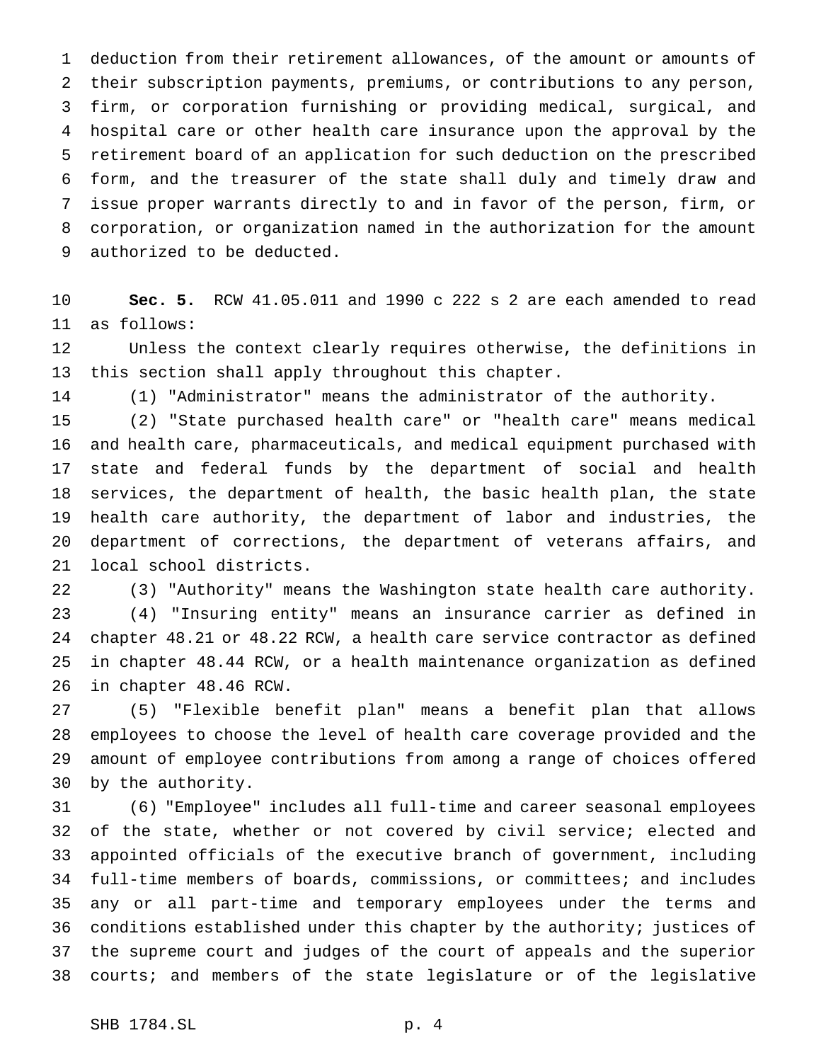deduction from their retirement allowances, of the amount or amounts of their subscription payments, premiums, or contributions to any person, firm, or corporation furnishing or providing medical, surgical, and hospital care or other health care insurance upon the approval by the retirement board of an application for such deduction on the prescribed form, and the treasurer of the state shall duly and timely draw and issue proper warrants directly to and in favor of the person, firm, or corporation, or organization named in the authorization for the amount authorized to be deducted.

 **Sec. 5.** RCW 41.05.011 and 1990 c 222 s 2 are each amended to read as follows:

 Unless the context clearly requires otherwise, the definitions in this section shall apply throughout this chapter.

(1) "Administrator" means the administrator of the authority.

 (2) "State purchased health care" or "health care" means medical and health care, pharmaceuticals, and medical equipment purchased with state and federal funds by the department of social and health services, the department of health, the basic health plan, the state health care authority, the department of labor and industries, the department of corrections, the department of veterans affairs, and local school districts.

 (3) "Authority" means the Washington state health care authority. (4) "Insuring entity" means an insurance carrier as defined in chapter 48.21 or 48.22 RCW, a health care service contractor as defined in chapter 48.44 RCW, or a health maintenance organization as defined in chapter 48.46 RCW.

 (5) "Flexible benefit plan" means a benefit plan that allows employees to choose the level of health care coverage provided and the amount of employee contributions from among a range of choices offered by the authority.

 (6) "Employee" includes all full-time and career seasonal employees of the state, whether or not covered by civil service; elected and appointed officials of the executive branch of government, including full-time members of boards, commissions, or committees; and includes any or all part-time and temporary employees under the terms and conditions established under this chapter by the authority; justices of the supreme court and judges of the court of appeals and the superior courts; and members of the state legislature or of the legislative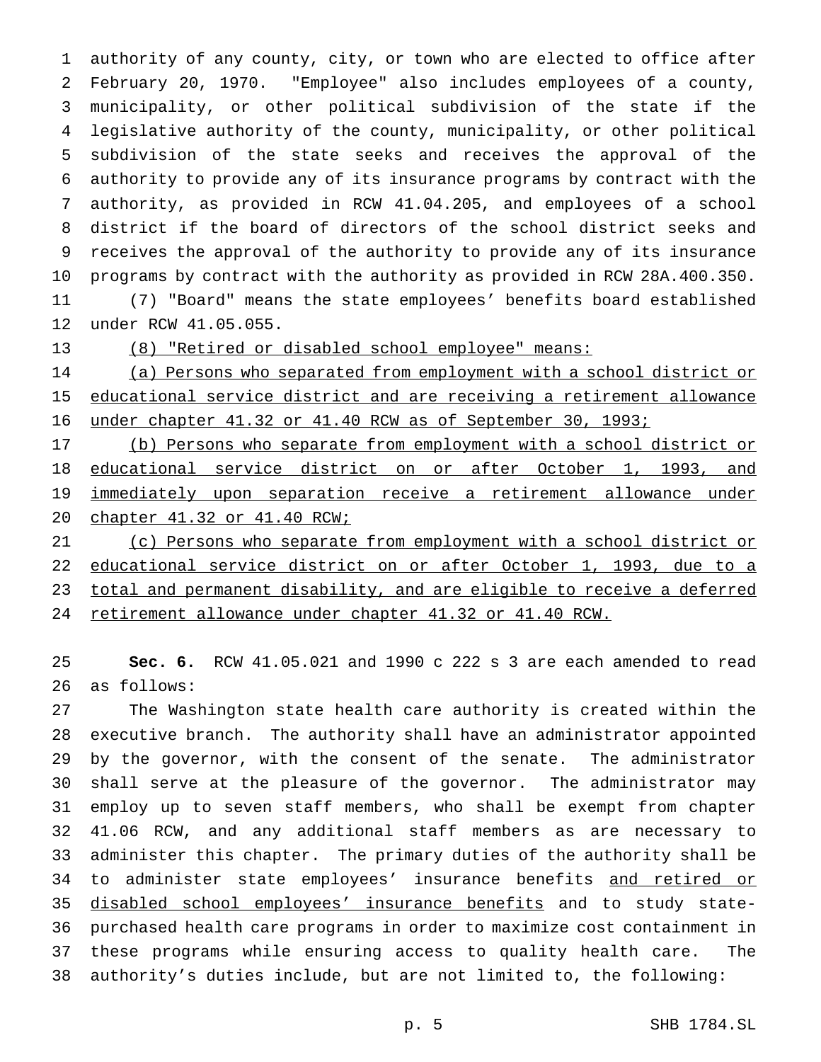authority of any county, city, or town who are elected to office after February 20, 1970. "Employee" also includes employees of a county, municipality, or other political subdivision of the state if the legislative authority of the county, municipality, or other political subdivision of the state seeks and receives the approval of the authority to provide any of its insurance programs by contract with the authority, as provided in RCW 41.04.205, and employees of a school district if the board of directors of the school district seeks and receives the approval of the authority to provide any of its insurance programs by contract with the authority as provided in RCW 28A.400.350. (7) "Board" means the state employees' benefits board established

under RCW 41.05.055.

(8) "Retired or disabled school employee" means:

 (a) Persons who separated from employment with a school district or educational service district and are receiving a retirement allowance under chapter 41.32 or 41.40 RCW as of September 30, 1993;

 (b) Persons who separate from employment with a school district or educational service district on or after October 1, 1993, and immediately upon separation receive a retirement allowance under chapter 41.32 or 41.40 RCW;

 (c) Persons who separate from employment with a school district or educational service district on or after October 1, 1993, due to a total and permanent disability, and are eligible to receive a deferred retirement allowance under chapter 41.32 or 41.40 RCW.

 **Sec. 6.** RCW 41.05.021 and 1990 c 222 s 3 are each amended to read as follows:

 The Washington state health care authority is created within the executive branch. The authority shall have an administrator appointed by the governor, with the consent of the senate. The administrator shall serve at the pleasure of the governor. The administrator may employ up to seven staff members, who shall be exempt from chapter 41.06 RCW, and any additional staff members as are necessary to administer this chapter. The primary duties of the authority shall be 34 to administer state employees' insurance benefits and retired or 35 disabled school employees' insurance benefits and to study state- purchased health care programs in order to maximize cost containment in these programs while ensuring access to quality health care. The authority's duties include, but are not limited to, the following: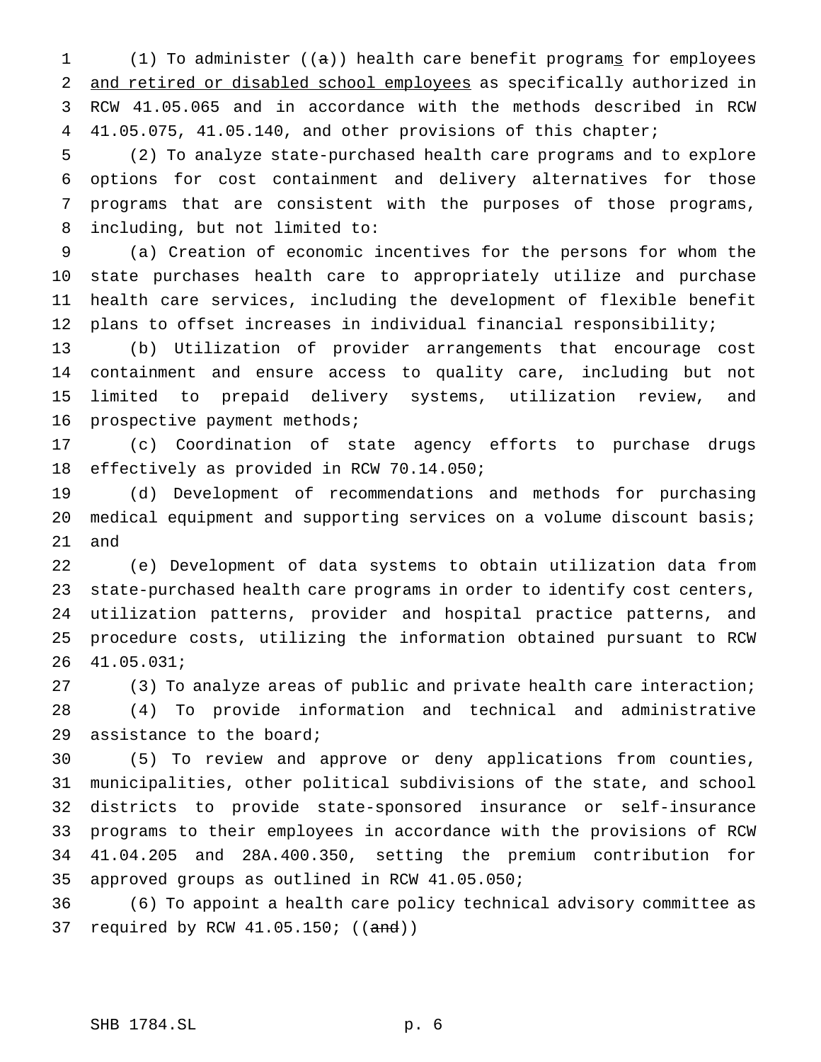1 (1) To administer ( $(a)$ ) health care benefit programs for employees and retired or disabled school employees as specifically authorized in RCW 41.05.065 and in accordance with the methods described in RCW 41.05.075, 41.05.140, and other provisions of this chapter;

 (2) To analyze state-purchased health care programs and to explore options for cost containment and delivery alternatives for those programs that are consistent with the purposes of those programs, including, but not limited to:

 (a) Creation of economic incentives for the persons for whom the state purchases health care to appropriately utilize and purchase health care services, including the development of flexible benefit plans to offset increases in individual financial responsibility;

 (b) Utilization of provider arrangements that encourage cost containment and ensure access to quality care, including but not limited to prepaid delivery systems, utilization review, and prospective payment methods;

 (c) Coordination of state agency efforts to purchase drugs effectively as provided in RCW 70.14.050;

 (d) Development of recommendations and methods for purchasing 20 medical equipment and supporting services on a volume discount basis; and

 (e) Development of data systems to obtain utilization data from state-purchased health care programs in order to identify cost centers, utilization patterns, provider and hospital practice patterns, and procedure costs, utilizing the information obtained pursuant to RCW 41.05.031;

27 (3) To analyze areas of public and private health care interaction; (4) To provide information and technical and administrative assistance to the board;

 (5) To review and approve or deny applications from counties, municipalities, other political subdivisions of the state, and school districts to provide state-sponsored insurance or self-insurance programs to their employees in accordance with the provisions of RCW 41.04.205 and 28A.400.350, setting the premium contribution for approved groups as outlined in RCW 41.05.050;

 (6) To appoint a health care policy technical advisory committee as 37 required by RCW 41.05.150; ((and))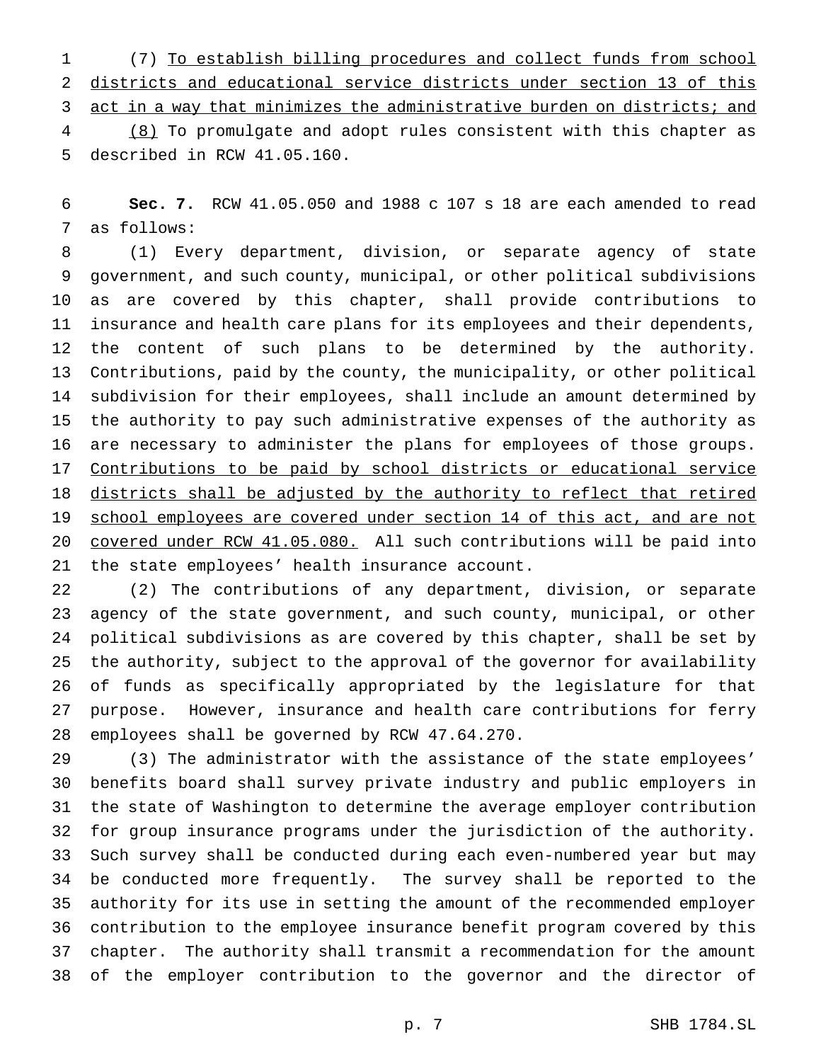(7) To establish billing procedures and collect funds from school districts and educational service districts under section 13 of this 3 act in a way that minimizes the administrative burden on districts; and (8) To promulgate and adopt rules consistent with this chapter as described in RCW 41.05.160.

 **Sec. 7.** RCW 41.05.050 and 1988 c 107 s 18 are each amended to read as follows:

 (1) Every department, division, or separate agency of state government, and such county, municipal, or other political subdivisions as are covered by this chapter, shall provide contributions to insurance and health care plans for its employees and their dependents, the content of such plans to be determined by the authority. Contributions, paid by the county, the municipality, or other political subdivision for their employees, shall include an amount determined by the authority to pay such administrative expenses of the authority as are necessary to administer the plans for employees of those groups. 17 Contributions to be paid by school districts or educational service 18 districts shall be adjusted by the authority to reflect that retired school employees are covered under section 14 of this act, and are not covered under RCW 41.05.080. All such contributions will be paid into the state employees' health insurance account.

 (2) The contributions of any department, division, or separate agency of the state government, and such county, municipal, or other political subdivisions as are covered by this chapter, shall be set by the authority, subject to the approval of the governor for availability of funds as specifically appropriated by the legislature for that purpose. However, insurance and health care contributions for ferry employees shall be governed by RCW 47.64.270.

 (3) The administrator with the assistance of the state employees' benefits board shall survey private industry and public employers in the state of Washington to determine the average employer contribution for group insurance programs under the jurisdiction of the authority. Such survey shall be conducted during each even-numbered year but may be conducted more frequently. The survey shall be reported to the authority for its use in setting the amount of the recommended employer contribution to the employee insurance benefit program covered by this chapter. The authority shall transmit a recommendation for the amount of the employer contribution to the governor and the director of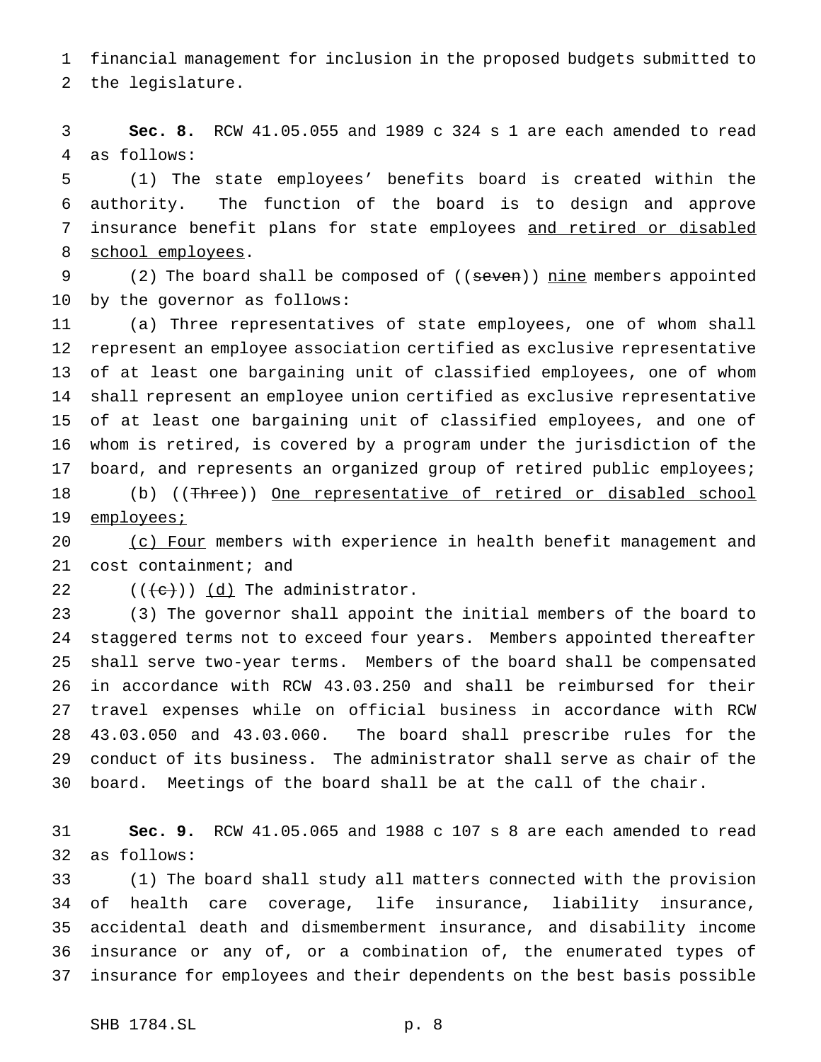financial management for inclusion in the proposed budgets submitted to the legislature.

 **Sec. 8.** RCW 41.05.055 and 1989 c 324 s 1 are each amended to read as follows:

 (1) The state employees' benefits board is created within the authority. The function of the board is to design and approve 7 insurance benefit plans for state employees and retired or disabled school employees.

9 (2) The board shall be composed of ((seven)) nine members appointed by the governor as follows:

 (a) Three representatives of state employees, one of whom shall represent an employee association certified as exclusive representative of at least one bargaining unit of classified employees, one of whom shall represent an employee union certified as exclusive representative of at least one bargaining unit of classified employees, and one of whom is retired, is covered by a program under the jurisdiction of the board, and represents an organized group of retired public employees; 18 (b) ((Three)) One representative of retired or disabled school 19 employees;

20 (c) Four members with experience in health benefit management and cost containment; and

22  $((\langle e \rangle) \setminus \underline{d})$  The administrator.

 (3) The governor shall appoint the initial members of the board to staggered terms not to exceed four years. Members appointed thereafter shall serve two-year terms. Members of the board shall be compensated in accordance with RCW 43.03.250 and shall be reimbursed for their travel expenses while on official business in accordance with RCW 43.03.050 and 43.03.060. The board shall prescribe rules for the conduct of its business. The administrator shall serve as chair of the board. Meetings of the board shall be at the call of the chair.

 **Sec. 9.** RCW 41.05.065 and 1988 c 107 s 8 are each amended to read as follows:

 (1) The board shall study all matters connected with the provision of health care coverage, life insurance, liability insurance, accidental death and dismemberment insurance, and disability income insurance or any of, or a combination of, the enumerated types of insurance for employees and their dependents on the best basis possible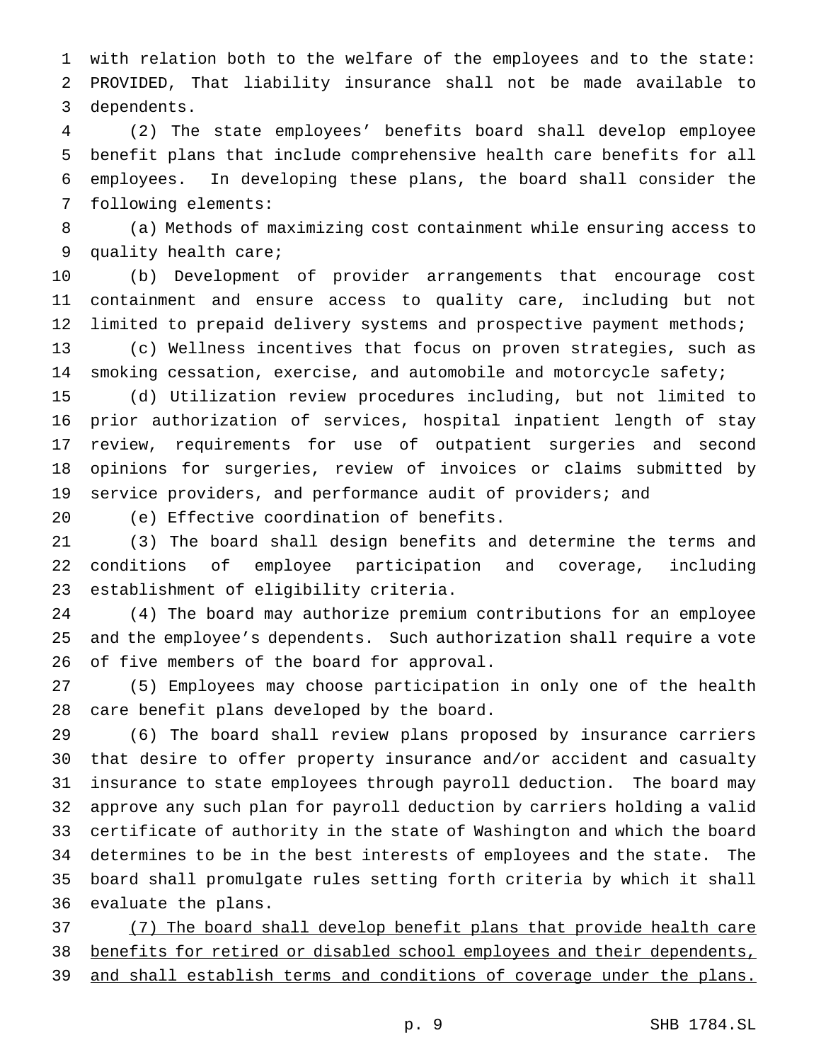with relation both to the welfare of the employees and to the state: PROVIDED, That liability insurance shall not be made available to dependents.

 (2) The state employees' benefits board shall develop employee benefit plans that include comprehensive health care benefits for all employees. In developing these plans, the board shall consider the following elements:

 (a) Methods of maximizing cost containment while ensuring access to quality health care;

 (b) Development of provider arrangements that encourage cost containment and ensure access to quality care, including but not limited to prepaid delivery systems and prospective payment methods;

 (c) Wellness incentives that focus on proven strategies, such as smoking cessation, exercise, and automobile and motorcycle safety;

 (d) Utilization review procedures including, but not limited to prior authorization of services, hospital inpatient length of stay review, requirements for use of outpatient surgeries and second opinions for surgeries, review of invoices or claims submitted by service providers, and performance audit of providers; and

(e) Effective coordination of benefits.

 (3) The board shall design benefits and determine the terms and conditions of employee participation and coverage, including establishment of eligibility criteria.

 (4) The board may authorize premium contributions for an employee and the employee's dependents. Such authorization shall require a vote of five members of the board for approval.

 (5) Employees may choose participation in only one of the health care benefit plans developed by the board.

 (6) The board shall review plans proposed by insurance carriers that desire to offer property insurance and/or accident and casualty insurance to state employees through payroll deduction. The board may approve any such plan for payroll deduction by carriers holding a valid certificate of authority in the state of Washington and which the board determines to be in the best interests of employees and the state. The board shall promulgate rules setting forth criteria by which it shall evaluate the plans.

 (7) The board shall develop benefit plans that provide health care 38 benefits for retired or disabled school employees and their dependents, and shall establish terms and conditions of coverage under the plans.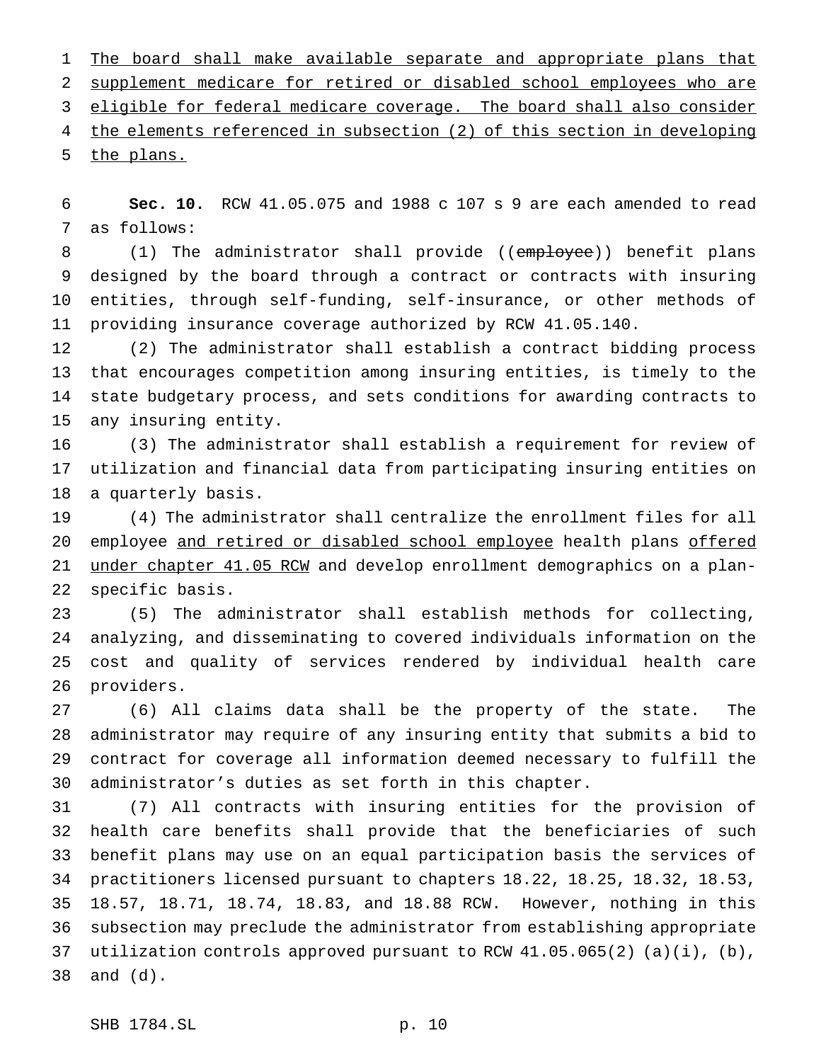1 The board shall make available separate and appropriate plans that supplement medicare for retired or disabled school employees who are eligible for federal medicare coverage. The board shall also consider the elements referenced in subsection (2) of this section in developing the plans.

 **Sec. 10.** RCW 41.05.075 and 1988 c 107 s 9 are each amended to read as follows:

8 (1) The administrator shall provide ((employee)) benefit plans designed by the board through a contract or contracts with insuring entities, through self-funding, self-insurance, or other methods of providing insurance coverage authorized by RCW 41.05.140.

 (2) The administrator shall establish a contract bidding process that encourages competition among insuring entities, is timely to the state budgetary process, and sets conditions for awarding contracts to any insuring entity.

 (3) The administrator shall establish a requirement for review of utilization and financial data from participating insuring entities on a quarterly basis.

 (4) The administrator shall centralize the enrollment files for all 20 employee and retired or disabled school employee health plans offered 21 under chapter 41.05 RCW and develop enrollment demographics on a plan-specific basis.

 (5) The administrator shall establish methods for collecting, analyzing, and disseminating to covered individuals information on the cost and quality of services rendered by individual health care providers.

 (6) All claims data shall be the property of the state. The administrator may require of any insuring entity that submits a bid to contract for coverage all information deemed necessary to fulfill the administrator's duties as set forth in this chapter.

 (7) All contracts with insuring entities for the provision of health care benefits shall provide that the beneficiaries of such benefit plans may use on an equal participation basis the services of practitioners licensed pursuant to chapters 18.22, 18.25, 18.32, 18.53, 18.57, 18.71, 18.74, 18.83, and 18.88 RCW. However, nothing in this subsection may preclude the administrator from establishing appropriate 37 utilization controls approved pursuant to RCW  $41.05.065(2)$  (a)(i), (b), and (d).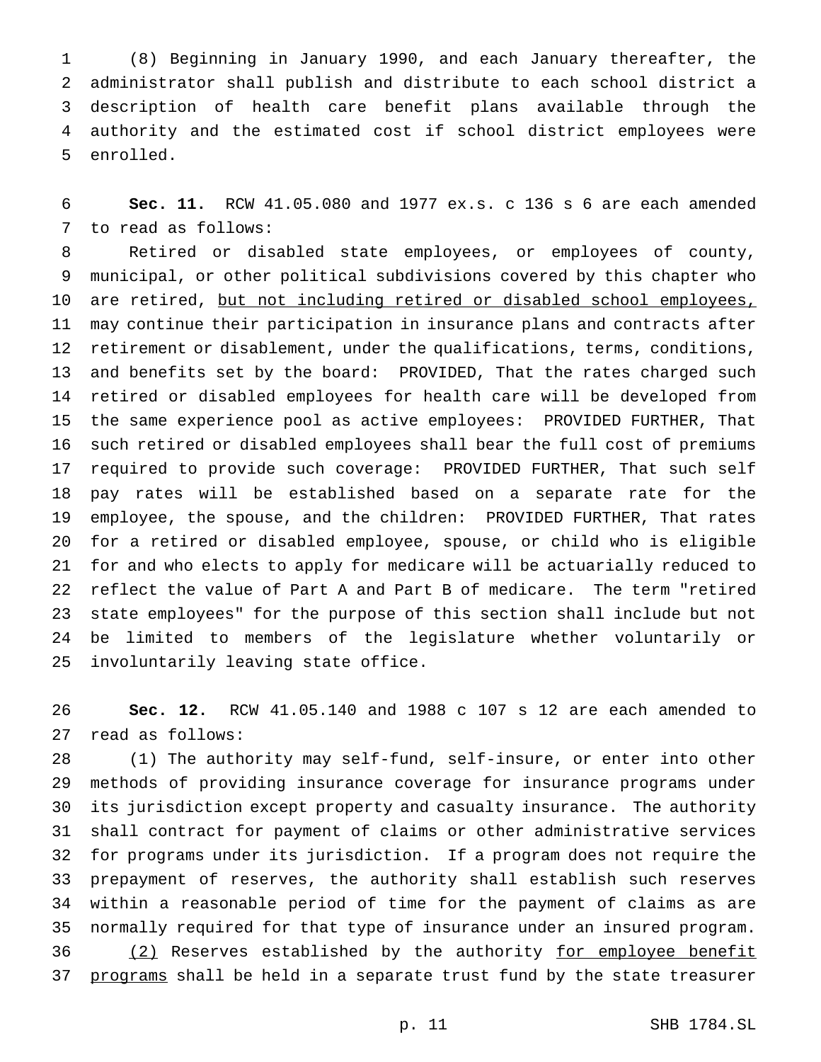(8) Beginning in January 1990, and each January thereafter, the administrator shall publish and distribute to each school district a description of health care benefit plans available through the authority and the estimated cost if school district employees were enrolled.

 **Sec. 11.** RCW 41.05.080 and 1977 ex.s. c 136 s 6 are each amended to read as follows:

 Retired or disabled state employees, or employees of county, municipal, or other political subdivisions covered by this chapter who 10 are retired, but not including retired or disabled school employees, may continue their participation in insurance plans and contracts after retirement or disablement, under the qualifications, terms, conditions, and benefits set by the board: PROVIDED, That the rates charged such retired or disabled employees for health care will be developed from the same experience pool as active employees: PROVIDED FURTHER, That such retired or disabled employees shall bear the full cost of premiums required to provide such coverage: PROVIDED FURTHER, That such self pay rates will be established based on a separate rate for the employee, the spouse, and the children: PROVIDED FURTHER, That rates for a retired or disabled employee, spouse, or child who is eligible for and who elects to apply for medicare will be actuarially reduced to reflect the value of Part A and Part B of medicare. The term "retired state employees" for the purpose of this section shall include but not be limited to members of the legislature whether voluntarily or involuntarily leaving state office.

 **Sec. 12.** RCW 41.05.140 and 1988 c 107 s 12 are each amended to read as follows:

 (1) The authority may self-fund, self-insure, or enter into other methods of providing insurance coverage for insurance programs under its jurisdiction except property and casualty insurance. The authority shall contract for payment of claims or other administrative services for programs under its jurisdiction. If a program does not require the prepayment of reserves, the authority shall establish such reserves within a reasonable period of time for the payment of claims as are normally required for that type of insurance under an insured program. 36 (2) Reserves established by the authority for employee benefit 37 programs shall be held in a separate trust fund by the state treasurer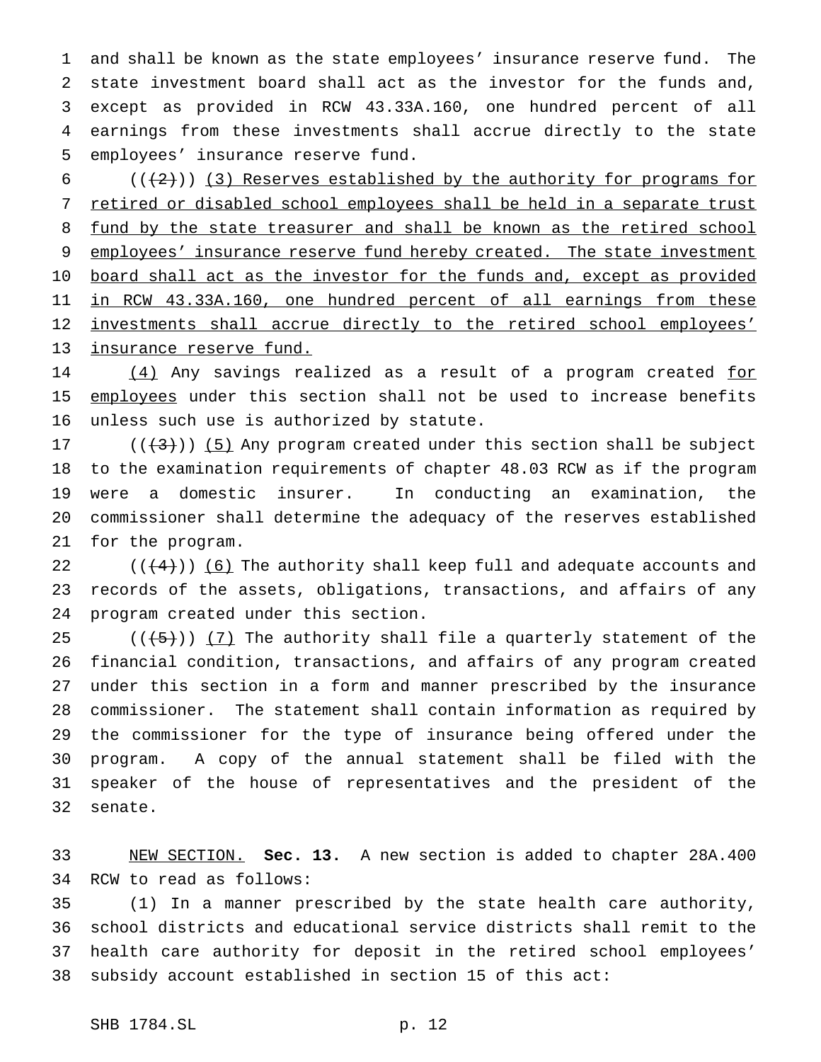and shall be known as the state employees' insurance reserve fund. The state investment board shall act as the investor for the funds and, except as provided in RCW 43.33A.160, one hundred percent of all earnings from these investments shall accrue directly to the state employees' insurance reserve fund.

 $((+2))$  (3) Reserves established by the authority for programs for retired or disabled school employees shall be held in a separate trust 8 fund by the state treasurer and shall be known as the retired school 9 employees' insurance reserve fund hereby created. The state investment 10 board shall act as the investor for the funds and, except as provided in RCW 43.33A.160, one hundred percent of all earnings from these 12 investments shall accrue directly to the retired school employees' insurance reserve fund.

14 (4) Any savings realized as a result of a program created for 15 employees under this section shall not be used to increase benefits unless such use is authorized by statute.

 $((+3))$  (5) Any program created under this section shall be subject to the examination requirements of chapter 48.03 RCW as if the program were a domestic insurer. In conducting an examination, the commissioner shall determine the adequacy of the reserves established for the program.

 $((+4))$  (6) The authority shall keep full and adequate accounts and records of the assets, obligations, transactions, and affairs of any program created under this section.

 $((+5))$   $(7)$  The authority shall file a quarterly statement of the financial condition, transactions, and affairs of any program created under this section in a form and manner prescribed by the insurance commissioner. The statement shall contain information as required by the commissioner for the type of insurance being offered under the program. A copy of the annual statement shall be filed with the speaker of the house of representatives and the president of the senate.

 NEW SECTION. **Sec. 13.** A new section is added to chapter 28A.400 RCW to read as follows:

 (1) In a manner prescribed by the state health care authority, school districts and educational service districts shall remit to the health care authority for deposit in the retired school employees' subsidy account established in section 15 of this act: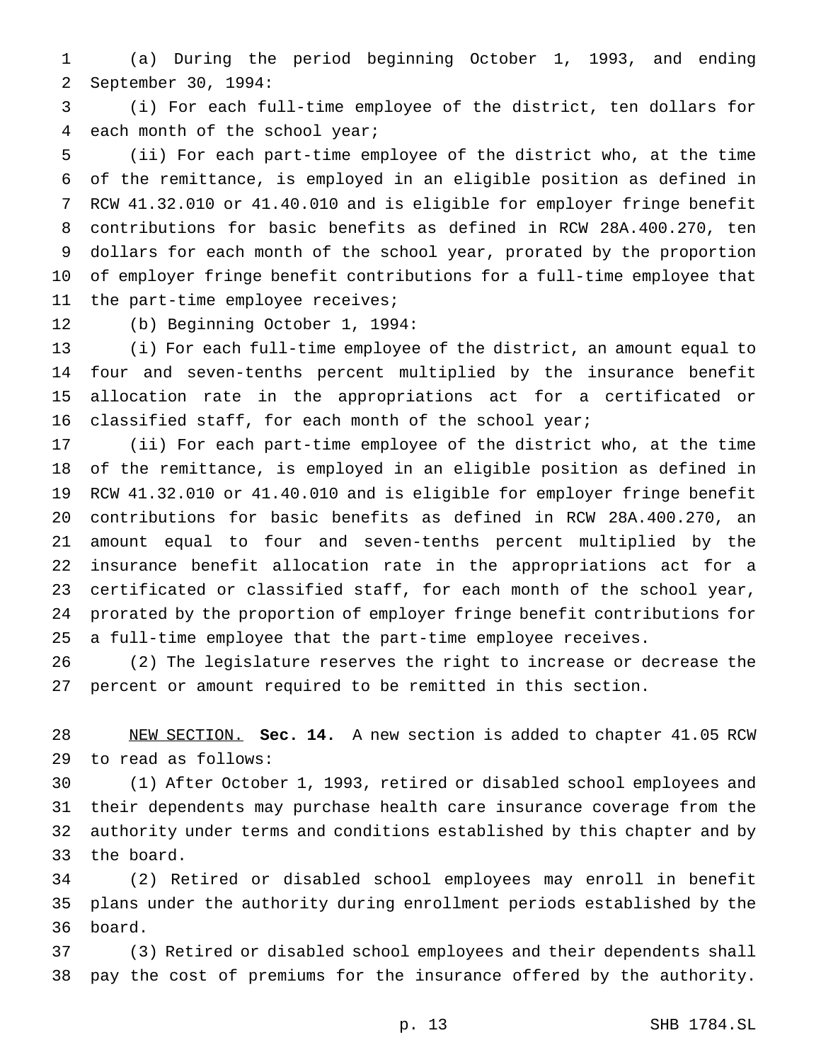(a) During the period beginning October 1, 1993, and ending September 30, 1994:

 (i) For each full-time employee of the district, ten dollars for each month of the school year;

 (ii) For each part-time employee of the district who, at the time of the remittance, is employed in an eligible position as defined in RCW 41.32.010 or 41.40.010 and is eligible for employer fringe benefit contributions for basic benefits as defined in RCW 28A.400.270, ten dollars for each month of the school year, prorated by the proportion of employer fringe benefit contributions for a full-time employee that the part-time employee receives;

(b) Beginning October 1, 1994:

 (i) For each full-time employee of the district, an amount equal to four and seven-tenths percent multiplied by the insurance benefit allocation rate in the appropriations act for a certificated or classified staff, for each month of the school year;

 (ii) For each part-time employee of the district who, at the time of the remittance, is employed in an eligible position as defined in RCW 41.32.010 or 41.40.010 and is eligible for employer fringe benefit contributions for basic benefits as defined in RCW 28A.400.270, an amount equal to four and seven-tenths percent multiplied by the insurance benefit allocation rate in the appropriations act for a certificated or classified staff, for each month of the school year, prorated by the proportion of employer fringe benefit contributions for a full-time employee that the part-time employee receives.

 (2) The legislature reserves the right to increase or decrease the percent or amount required to be remitted in this section.

 NEW SECTION. **Sec. 14.** A new section is added to chapter 41.05 RCW to read as follows:

 (1) After October 1, 1993, retired or disabled school employees and their dependents may purchase health care insurance coverage from the authority under terms and conditions established by this chapter and by the board.

 (2) Retired or disabled school employees may enroll in benefit plans under the authority during enrollment periods established by the board.

 (3) Retired or disabled school employees and their dependents shall pay the cost of premiums for the insurance offered by the authority.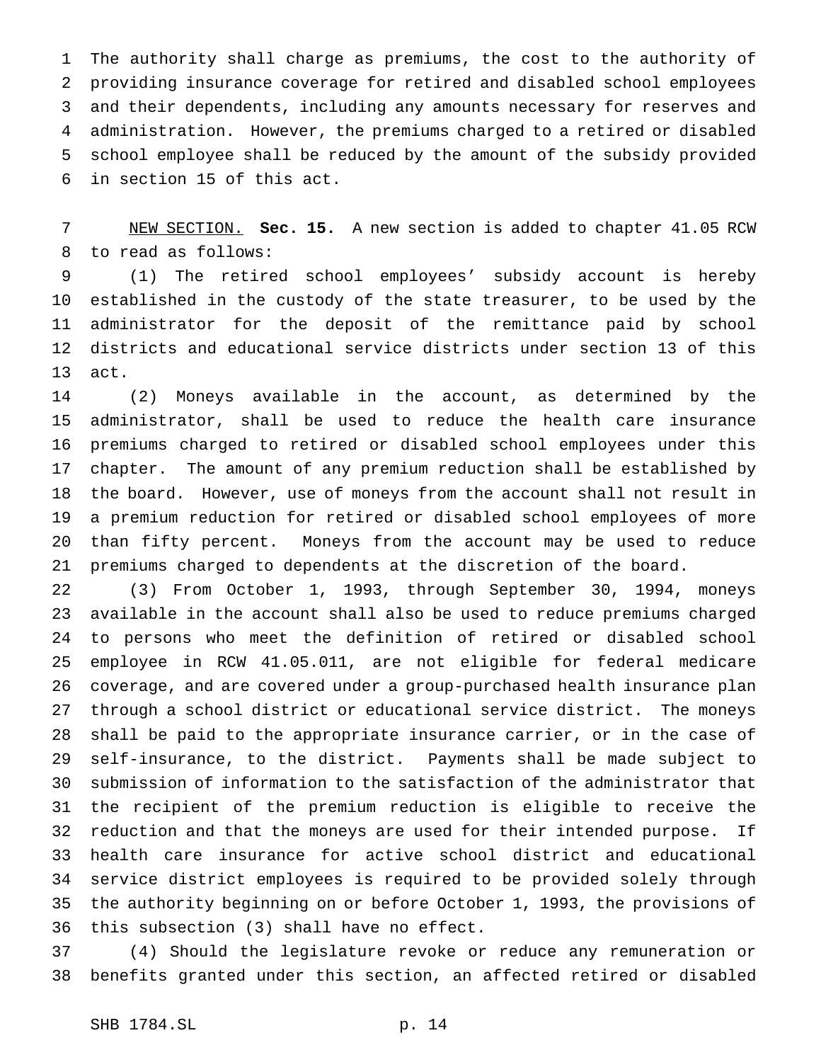The authority shall charge as premiums, the cost to the authority of providing insurance coverage for retired and disabled school employees and their dependents, including any amounts necessary for reserves and administration. However, the premiums charged to a retired or disabled school employee shall be reduced by the amount of the subsidy provided in section 15 of this act.

 NEW SECTION. **Sec. 15.** A new section is added to chapter 41.05 RCW to read as follows:

 (1) The retired school employees' subsidy account is hereby established in the custody of the state treasurer, to be used by the administrator for the deposit of the remittance paid by school districts and educational service districts under section 13 of this act.

 (2) Moneys available in the account, as determined by the administrator, shall be used to reduce the health care insurance premiums charged to retired or disabled school employees under this chapter. The amount of any premium reduction shall be established by the board. However, use of moneys from the account shall not result in a premium reduction for retired or disabled school employees of more than fifty percent. Moneys from the account may be used to reduce premiums charged to dependents at the discretion of the board.

 (3) From October 1, 1993, through September 30, 1994, moneys available in the account shall also be used to reduce premiums charged to persons who meet the definition of retired or disabled school employee in RCW 41.05.011, are not eligible for federal medicare coverage, and are covered under a group-purchased health insurance plan through a school district or educational service district. The moneys shall be paid to the appropriate insurance carrier, or in the case of self-insurance, to the district. Payments shall be made subject to submission of information to the satisfaction of the administrator that the recipient of the premium reduction is eligible to receive the reduction and that the moneys are used for their intended purpose. If health care insurance for active school district and educational service district employees is required to be provided solely through the authority beginning on or before October 1, 1993, the provisions of this subsection (3) shall have no effect.

 (4) Should the legislature revoke or reduce any remuneration or benefits granted under this section, an affected retired or disabled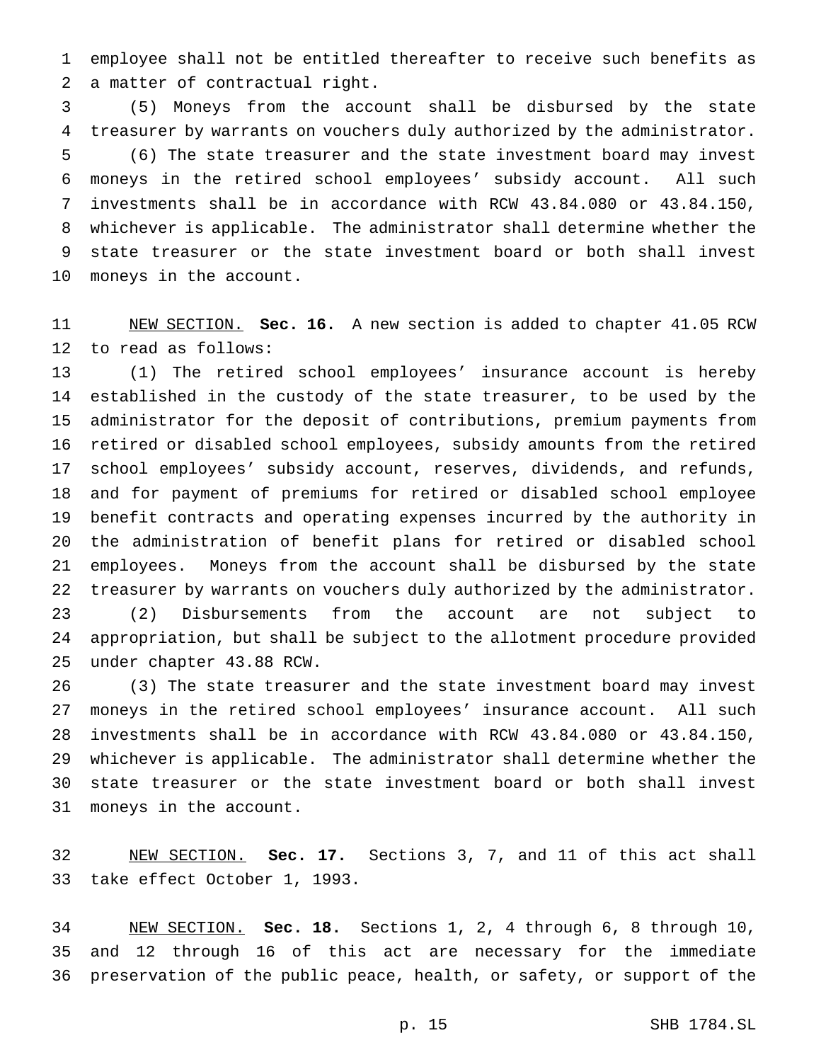employee shall not be entitled thereafter to receive such benefits as a matter of contractual right.

 (5) Moneys from the account shall be disbursed by the state treasurer by warrants on vouchers duly authorized by the administrator. (6) The state treasurer and the state investment board may invest moneys in the retired school employees' subsidy account. All such investments shall be in accordance with RCW 43.84.080 or 43.84.150, whichever is applicable. The administrator shall determine whether the state treasurer or the state investment board or both shall invest moneys in the account.

 NEW SECTION. **Sec. 16.** A new section is added to chapter 41.05 RCW to read as follows:

 (1) The retired school employees' insurance account is hereby established in the custody of the state treasurer, to be used by the administrator for the deposit of contributions, premium payments from retired or disabled school employees, subsidy amounts from the retired school employees' subsidy account, reserves, dividends, and refunds, and for payment of premiums for retired or disabled school employee benefit contracts and operating expenses incurred by the authority in the administration of benefit plans for retired or disabled school employees. Moneys from the account shall be disbursed by the state treasurer by warrants on vouchers duly authorized by the administrator. (2) Disbursements from the account are not subject to appropriation, but shall be subject to the allotment procedure provided under chapter 43.88 RCW.

 (3) The state treasurer and the state investment board may invest moneys in the retired school employees' insurance account. All such investments shall be in accordance with RCW 43.84.080 or 43.84.150, whichever is applicable. The administrator shall determine whether the state treasurer or the state investment board or both shall invest moneys in the account.

 NEW SECTION. **Sec. 17.** Sections 3, 7, and 11 of this act shall take effect October 1, 1993.

 NEW SECTION. **Sec. 18.** Sections 1, 2, 4 through 6, 8 through 10, and 12 through 16 of this act are necessary for the immediate preservation of the public peace, health, or safety, or support of the